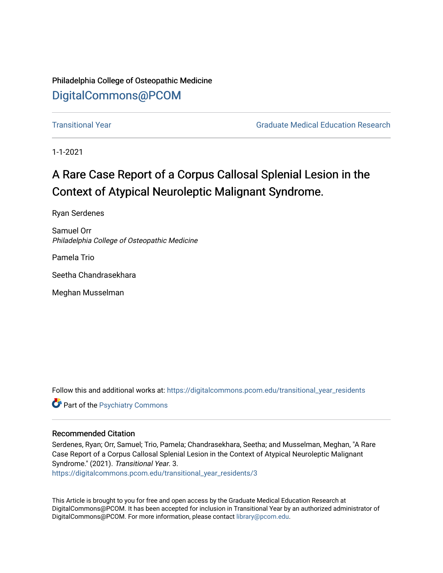Philadelphia College of Osteopathic Medicine [DigitalCommons@PCOM](https://digitalcommons.pcom.edu/) 

[Transitional Year](https://digitalcommons.pcom.edu/transitional_year_residents) [Graduate Medical Education Research](https://digitalcommons.pcom.edu/graduate_medical_education_research) 

1-1-2021

# A Rare Case Report of a Corpus Callosal Splenial Lesion in the Context of Atypical Neuroleptic Malignant Syndrome.

Ryan Serdenes

Samuel Orr Philadelphia College of Osteopathic Medicine

Pamela Trio

Seetha Chandrasekhara

Meghan Musselman

Follow this and additional works at: [https://digitalcommons.pcom.edu/transitional\\_year\\_residents](https://digitalcommons.pcom.edu/transitional_year_residents?utm_source=digitalcommons.pcom.edu%2Ftransitional_year_residents%2F3&utm_medium=PDF&utm_campaign=PDFCoverPages)

**Part of the Psychiatry Commons** 

## Recommended Citation

Serdenes, Ryan; Orr, Samuel; Trio, Pamela; Chandrasekhara, Seetha; and Musselman, Meghan, "A Rare Case Report of a Corpus Callosal Splenial Lesion in the Context of Atypical Neuroleptic Malignant Syndrome." (2021). Transitional Year. 3.

[https://digitalcommons.pcom.edu/transitional\\_year\\_residents/3](https://digitalcommons.pcom.edu/transitional_year_residents/3?utm_source=digitalcommons.pcom.edu%2Ftransitional_year_residents%2F3&utm_medium=PDF&utm_campaign=PDFCoverPages) 

This Article is brought to you for free and open access by the Graduate Medical Education Research at DigitalCommons@PCOM. It has been accepted for inclusion in Transitional Year by an authorized administrator of DigitalCommons@PCOM. For more information, please contact [library@pcom.edu](mailto:library@pcom.edu).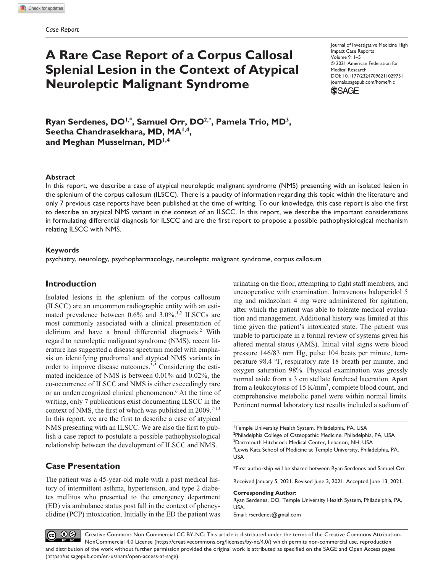## **A Rare Case Report of a Corpus Callosal Splenial Lesion in the Context of Atypical Neuroleptic Malignant Syndrome**

https://doi.org/10.1177/23247096211029751 DOI: 10.1177/23247096211029751 Journal of Investigative Medicine High Impact Case Reports Volume 9: 1–5 © 2021 American Federation for Medical Research [journals.sagepub.com/home/hic](https://journals.sagepub.com/home/hic)



**Ryan Serdenes, DO1,\* , Samuel Orr, DO2,\*, Pamela Trio, MD3, Seetha Chandrasekhara, MD, MA1,4, and Meghan Musselman, MD1,4**

## **Abstract**

In this report, we describe a case of atypical neuroleptic malignant syndrome (NMS) presenting with an isolated lesion in the splenium of the corpus callosum (ILSCC). There is a paucity of information regarding this topic within the literature and only 7 previous case reports have been published at the time of writing. To our knowledge, this case report is also the first to describe an atypical NMS variant in the context of an ILSCC. In this report, we describe the important considerations in formulating differential diagnosis for ILSCC and are the first report to propose a possible pathophysiological mechanism relating ILSCC with NMS.

## **Keywords**

psychiatry, neurology, psychopharmacology, neuroleptic malignant syndrome, corpus callosum

## **Introduction**

Isolated lesions in the splenium of the corpus callosum (ILSCC) are an uncommon radiographic entity with an estimated prevalence between  $0.6\%$  and  $3.0\%$ .<sup>1,2</sup> ILSCCs are most commonly associated with a clinical presentation of delirium and have a broad differential diagnosis.<sup>2</sup> With regard to neuroleptic malignant syndrome (NMS), recent literature has suggested a disease spectrum model with emphasis on identifying prodromal and atypical NMS variants in order to improve disease outcomes.<sup>3-5</sup> Considering the estimated incidence of NMS is between 0.01% and 0.02%, the co-occurrence of ILSCC and NMS is either exceedingly rare or an underrecognized clinical phenomenon.<sup>6</sup> At the time of writing, only 7 publications exist documenting ILSCC in the context of NMS, the first of which was published in 2009.<sup>7-13</sup> In this report, we are the first to describe a case of atypical NMS presenting with an ILSCC. We are also the first to publish a case report to postulate a possible pathophysiological relationship between the development of ILSCC and NMS.

## **Case Presentation**

The patient was a 45-year-old male with a past medical history of intermittent asthma, hypertension, and type 2 diabetes mellitus who presented to the emergency department (ED) via ambulance status post fall in the context of phencyclidine (PCP) intoxication. Initially in the ED the patient was urinating on the floor, attempting to fight staff members, and uncooperative with examination. Intravenous haloperidol 5 mg and midazolam 4 mg were administered for agitation, after which the patient was able to tolerate medical evaluation and management. Additional history was limited at this time given the patient's intoxicated state. The patient was unable to participate in a formal review of systems given his altered mental status (AMS). Initial vital signs were blood pressure 146/83 mm Hg, pulse 104 beats per minute, temperature 98.4 °F, respiratory rate 18 breath per minute, and oxygen saturation 98%. Physical examination was grossly normal aside from a 3 cm stellate forehead laceration. Apart from a leukocytosis of 15 K/mm<sup>3</sup>, complete blood count, and comprehensive metabolic panel were within normal limits. Pertinent normal laboratory test results included a sodium of

\*First authorship will be shared between Ryan Serdenes and Samuel Orr.

Received January 5, 2021. Revised June 3, 2021. Accepted June 13, 2021.

#### **Corresponding Author:**

Ryan Serdenes, DO, Temple University Health System, Philadelphia, PA, USA.

Email: [rserdenes@gmail.com](mailto:rserdenes@gmail.com)



<sup>1</sup> Temple University Health System, Philadelphia, PA, USA <sup>2</sup>Philadelphia College of Osteopathic Medicine, Philadelphia, PA, USA 3 Dartmouth Hitchcock Medical Center, Lebanon, NH, USA 4 Lewis Katz School of Medicine at Temple University, Philadelphia, PA, USA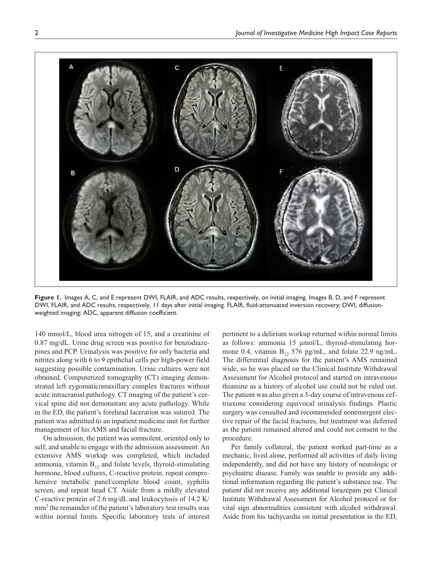

**Figure 1.** Images A, C, and E represent DWI, FLAIR, and ADC results, respectively, on initial imaging. Images B, D, and F represent DWI, FLAIR, and ADC results, respectively, 11 days after initial imaging. FLAIR, fluid-attenuated inversion recovery; DWI, diffusionweighted imaging; ADC, apparent diffusion coefficient.

140 mmol/L, blood urea nitrogen of 15, and a creatinine of 0.87 mg/dL. Urine drug screen was positive for benzodiazepines and PCP. Urinalysis was positive for only bacteria and nitrites along with 6 to 9 epithelial cells per high-power field suggesting possible contamination. Urine cultures were not obtained. Computerized tomography (CT) imaging demonstrated left zygomaticomaxillary complex fractures without acute intracranial pathology. CT imaging of the patient's cervical spine did not demonstrate any acute pathology. While in the ED, the patient's forehead laceration was sutured. The patient was admitted to an inpatient medicine unit for further management of his AMS and facial fracture.

On admission, the patient was somnolent, oriented only to self, and unable to engage with the admission assessment. An extensive AMS workup was completed, which included ammonia, vitamin  $B_{12}$  and folate levels, thyroid-stimulating hormone, blood cultures, C-reactive protein, repeat comprehensive metabolic panel/complete blood count, syphilis screen, and repeat head CT. Aside from a mildly elevated C-reactive protein of 2.6 mg/dL and leukocytosis of 14.2 K/ mm<sup>3</sup> the remainder of the patient's laboratory test results was within normal limits. Specific laboratory tests of interest

pertinent to a delirium workup returned within normal limits as follows: ammonia 15 µmol/L, thyroid-stimulating hormone 0.4, vitamin  $B_{12}$  576 pg/mL, and folate 22.9 ng/mL. The differential diagnosis for the patient's AMS remained wide, so he was placed on the Clinical Institute Withdrawal Assessment for Alcohol protocol and started on intravenous thiamine as a history of alcohol use could not be ruled out. The patient was also given a 3-day course of intravenous ceftriaxone considering equivocal urinalysis findings. Plastic surgery was consulted and recommended nonemergent elective repair of the facial fractures, but treatment was deferred as the patient remained altered and could not consent to the procedure.

Per family collateral, the patient worked part-time as a mechanic, lived alone, performed all activities of daily living independently, and did not have any history of neurologic or psychiatric disease. Family was unable to provide any additional information regarding the patient's substance use. The patient did not receive any additional lorazepam per Clinical Institute Withdrawal Assessment for Alcohol protocol or for vital sign abnormalities consistent with alcohol withdrawal. Aside from his tachycardia on initial presentation in the ED,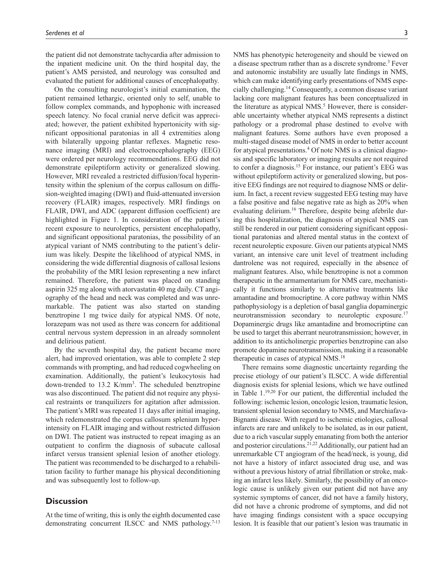the patient did not demonstrate tachycardia after admission to the inpatient medicine unit. On the third hospital day, the patient's AMS persisted, and neurology was consulted and evaluated the patient for additional causes of encephalopathy.

On the consulting neurologist's initial examination, the patient remained lethargic, oriented only to self, unable to follow complex commands, and hypophonic with increased speech latency. No focal cranial nerve deficit was appreciated; however, the patient exhibited hypertonicity with significant oppositional paratonias in all 4 extremities along with bilaterally upgoing plantar reflexes. Magnetic resonance imaging (MRI) and electroencephalography (EEG) were ordered per neurology recommendations. EEG did not demonstrate epileptiform activity or generalized slowing. However, MRI revealed a restricted diffusion/focal hyperintensity within the splenium of the corpus callosum on diffusion-weighted imaging (DWI) and fluid-attenuated inversion recovery (FLAIR) images, respectively. MRI findings on FLAIR, DWI, and ADC (apparent diffusion coefficient) are highlighted in Figure 1. In consideration of the patient's recent exposure to neuroleptics, persistent encephalopathy, and significant oppositional paratonias, the possibility of an atypical variant of NMS contributing to the patient's delirium was likely. Despite the likelihood of atypical NMS, in considering the wide differential diagnosis of callosal lesions the probability of the MRI lesion representing a new infarct remained. Therefore, the patient was placed on standing aspirin 325 mg along with atorvastatin 40 mg daily. CT angiography of the head and neck was completed and was unremarkable. The patient was also started on standing benztropine 1 mg twice daily for atypical NMS. Of note, lorazepam was not used as there was concern for additional central nervous system depression in an already somnolent and delirious patient.

By the seventh hospital day, the patient became more alert, had improved orientation, was able to complete 2 step commands with prompting, and had reduced cogwheeling on examination. Additionally, the patient's leukocytosis had down-trended to 13.2 K/mm<sup>3</sup>. The scheduled benztropine was also discontinued. The patient did not require any physical restraints or tranquilizers for agitation after admission. The patient's MRI was repeated 11 days after initial imaging, which redemonstrated the corpus callosum splenium hyperintensity on FLAIR imaging and without restricted diffusion on DWI. The patient was instructed to repeat imaging as an outpatient to confirm the diagnosis of subacute callosal infarct versus transient splenial lesion of another etiology. The patient was recommended to be discharged to a rehabilitation facility to further manage his physical deconditioning and was subsequently lost to follow-up.

## **Discussion**

At the time of writing, this is only the eighth documented case demonstrating concurrent ILSCC and NMS pathology.<sup>7-13</sup> NMS has phenotypic heterogeneity and should be viewed on a disease spectrum rather than as a discrete syndrome.<sup>3</sup> Fever and autonomic instability are usually late findings in NMS, which can make identifying early presentations of NMS especially challenging.14 Consequently, a common disease variant lacking core malignant features has been conceptualized in the literature as atypical NMS.<sup>5</sup> However, there is considerable uncertainty whether atypical NMS represents a distinct pathology or a prodromal phase destined to evolve with malignant features. Some authors have even proposed a multi-staged disease model of NMS in order to better account for atypical presentations.<sup>4</sup> Of note NMS is a clinical diagnosis and specific laboratory or imaging results are not required to confer a diagnosis.<sup>15</sup> For instance, our patient's EEG was without epileptiform activity or generalized slowing, but positive EEG findings are not required to diagnose NMS or delirium. In fact, a recent review suggested EEG testing may have a false positive and false negative rate as high as 20% when evaluating delirium.<sup>16</sup> Therefore, despite being afebrile during this hospitalization, the diagnosis of atypical NMS can still be rendered in our patient considering significant oppositional paratonias and altered mental status in the context of recent neuroleptic exposure. Given our patients atypical NMS variant, an intensive care unit level of treatment including dantrolene was not required, especially in the absence of malignant features. Also, while benztropine is not a common therapeutic in the armamentarium for NMS care, mechanistically it functions similarly to alternative treatments like amantadine and bromocriptine. A core pathway within NMS pathophysiology is a depletion of basal ganglia dopaminergic neurotransmission secondary to neuroleptic exposure.<sup>17</sup> Dopaminergic drugs like amantadine and bromocriptine can be used to target this aberrant neurotransmission; however, in addition to its anticholinergic properties benztropine can also promote dopamine neurotransmission, making it a reasonable therapeutic in cases of atypical NMS.18

There remains some diagnostic uncertainty regarding the precise etiology of our patient's ILSCC. A wide differential diagnosis exists for splenial lesions, which we have outlined in Table  $1.^{19,20}$  For our patient, the differential included the following: ischemic lesion, oncologic lesion, traumatic lesion, transient splenial lesion secondary to NMS, and Marchiafava-Bignami disease. With regard to ischemic etiologies, callosal infarcts are rare and unlikely to be isolated, as in our patient, due to a rich vascular supply emanating from both the anterior and posterior circulations.21,22 Additionally, our patient had an unremarkable CT angiogram of the head/neck, is young, did not have a history of infarct associated drug use, and was without a previous history of atrial fibrillation or stroke, making an infarct less likely. Similarly, the possibility of an oncologic cause is unlikely given our patient did not have any systemic symptoms of cancer, did not have a family history, did not have a chronic prodrome of symptoms, and did not have imaging findings consistent with a space occupying lesion. It is feasible that our patient's lesion was traumatic in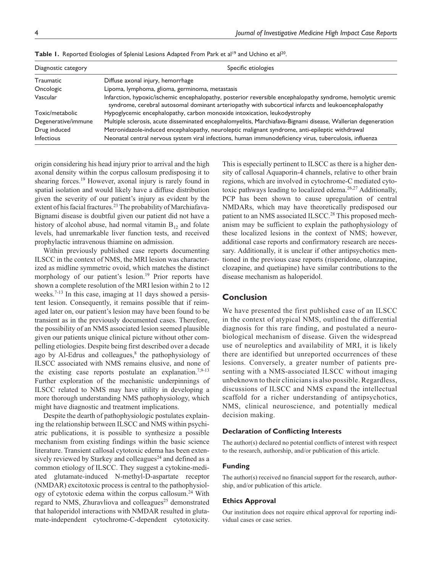| Diagnostic category | Specific etiologies                                                                                                                                                                                                 |
|---------------------|---------------------------------------------------------------------------------------------------------------------------------------------------------------------------------------------------------------------|
| Traumatic           | Diffuse axonal injury, hemorrhage                                                                                                                                                                                   |
| Oncologic           | Lipoma, lymphoma, glioma, germinoma, metastasis                                                                                                                                                                     |
| Vascular            | Infarction, hypoxic/ischemic encephalopathy, posterior reversible encephalopathy syndrome, hemolytic uremic<br>syndrome, cerebral autosomal dominant arteriopathy with subcortical infarcts and leukoencephalopathy |
| Toxic/metabolic     | Hypoglycemic encephalopathy, carbon monoxide intoxication, leukodystrophy                                                                                                                                           |
| Degenerative/immune | Multiple sclerosis, acute disseminated encephalomyelitis, Marchiafava-Bignami disease, Wallerian degeneration                                                                                                       |
| Drug induced        | Metronidazole-induced encephalopathy, neuroleptic malignant syndrome, anti-epileptic withdrawal                                                                                                                     |
| <b>Infectious</b>   | Neonatal central nervous system viral infections, human immunodeficiency virus, tuberculosis, influenza                                                                                                             |

Table 1. Reported Etiologies of Splenial Lesions Adapted From Park et al<sup>19</sup> and Uchino et al<sup>20</sup>.

origin considering his head injury prior to arrival and the high axonal density within the corpus callosum predisposing it to shearing forces.<sup>19</sup> However, axonal injury is rarely found in spatial isolation and would likely have a diffuse distribution given the severity of our patient's injury as evident by the extent of his facial fractures.<sup>23</sup> The probability of Marchiafava-Bignami disease is doubtful given our patient did not have a history of alcohol abuse, had normal vitamin  $B_{12}$  and folate levels, had unremarkable liver function tests, and received prophylactic intravenous thiamine on admission.

Within previously published case reports documenting ILSCC in the context of NMS, the MRI lesion was characterized as midline symmetric ovoid, which matches the distinct morphology of our patient's lesion.<sup>19</sup> Prior reports have shown a complete resolution of the MRI lesion within 2 to 12 weeks.<sup>7-13</sup> In this case, imaging at 11 days showed a persistent lesion. Consequently, it remains possible that if reimaged later on, our patient's lesion may have been found to be transient as in the previously documented cases. Therefore, the possibility of an NMS associated lesion seemed plausible given our patients unique clinical picture without other compelling etiologies. Despite being first described over a decade ago by Al-Edrus and colleagues, $8$  the pathophysiology of ILSCC associated with NMS remains elusive, and none of the existing case reports postulate an explanation.<sup>7,9-13</sup> Further exploration of the mechanistic underpinnings of ILSCC related to NMS may have utility in developing a more thorough understanding NMS pathophysiology, which might have diagnostic and treatment implications.

Despite the dearth of pathophysiologic postulates explaining the relationship between ILSCC and NMS within psychiatric publications, it is possible to synthesize a possible mechanism from existing findings within the basic science literature. Transient callosal cytotoxic edema has been extensively reviewed by Starkey and colleagues<sup>24</sup> and defined as a common etiology of ILSCC. They suggest a cytokine-mediated glutamate-induced N-methyl-D-aspartate receptor (NMDAR) excitotoxic process is central to the pathophysiology of cytotoxic edema within the corpus callosum.<sup>24</sup> With regard to NMS, Zhuravliova and colleagues<sup>25</sup> demonstrated that haloperidol interactions with NMDAR resulted in glutamate-independent cytochrome-C-dependent cytotoxicity.

This is especially pertinent to ILSCC as there is a higher density of callosal Aquaporin-4 channels, relative to other brain regions, which are involved in cytochrome-C mediated cytotoxic pathways leading to localized edema.<sup>26,27</sup> Additionally, PCP has been shown to cause upregulation of central NMDARs, which may have theoretically predisposed our patient to an NMS associated ILSCC.<sup>28</sup> This proposed mechanism may be sufficient to explain the pathophysiology of these localized lesions in the context of NMS; however, additional case reports and confirmatory research are necessary. Additionally, it is unclear if other antipsychotics mentioned in the previous case reports (risperidone, olanzapine, clozapine, and quetiapine) have similar contributions to the disease mechanism as haloperidol.

## **Conclusion**

We have presented the first published case of an ILSCC in the context of atypical NMS, outlined the differential diagnosis for this rare finding, and postulated a neurobiological mechanism of disease. Given the widespread use of neuroleptics and availability of MRI, it is likely there are identified but unreported occurrences of these lesions. Conversely, a greater number of patients presenting with a NMS-associated ILSCC without imaging unbeknown to their clinicians is also possible. Regardless, discussions of ILSCC and NMS expand the intellectual scaffold for a richer understanding of antipsychotics, NMS, clinical neuroscience, and potentially medical decision making.

#### **Declaration of Conflicting Interests**

The author(s) declared no potential conflicts of interest with respect to the research, authorship, and/or publication of this article.

#### **Funding**

The author(s) received no financial support for the research, authorship, and/or publication of this article.

#### **Ethics Approval**

Our institution does not require ethical approval for reporting individual cases or case series.